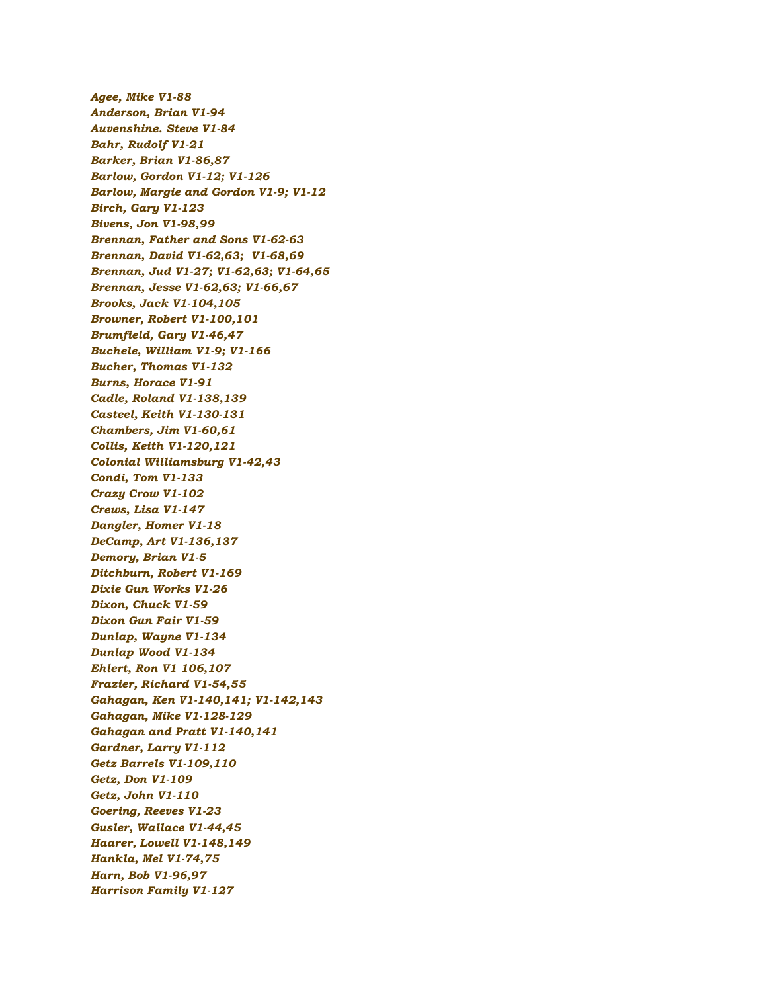*Agee, Mike V1-88 Anderson, Brian V1-94 Auvenshine. Steve V1-84 Bahr, Rudolf V1-21 Barker, Brian V1-86,87 Barlow, Gordon V1-12; V1-126 Barlow, Margie and Gordon V1-9; V1-12 Birch, Gary V1-123 Bivens, Jon V1-98,99 Brennan, Father and Sons V1-62-63 Brennan, David V1-62,63; V1-68,69 Brennan, Jud V1-27; V1-62,63; V1-64,65 Brennan, Jesse V1-62,63; V1-66,67 Brooks, Jack V1-104,105 Browner, Robert V1-100,101 Brumfield, Gary V1-46,47 Buchele, William V1-9; V1-166 Bucher, Thomas V1-132 Burns, Horace V1-91 Cadle, Roland V1-138,139 Casteel, Keith V1-130-131 Chambers, Jim V1-60,61 Collis, Keith V1-120,121 Colonial Williamsburg V1-42,43 Condi, Tom V1-133 Crazy Crow V1-102 Crews, Lisa V1-147 Dangler, Homer V1-18 DeCamp, Art V1-136,137 Demory, Brian V1-5 Ditchburn, Robert V1-169 Dixie Gun Works V1-26 Dixon, Chuck V1-59 Dixon Gun Fair V1-59 Dunlap, Wayne V1-134 Dunlap Wood V1-134 Ehlert, Ron V1 106,107 Frazier, Richard V1-54,55 Gahagan, Ken V1-140,141; V1-142,143 Gahagan, Mike V1-128-129 Gahagan and Pratt V1-140,141 Gardner, Larry V1-112 Getz Barrels V1-109,110 Getz, Don V1-109 Getz, John V1-110 Goering, Reeves V1-23 Gusler, Wallace V1-44,45 Haarer, Lowell V1-148,149 Hankla, Mel V1-74,75 Harn, Bob V1-96,97 Harrison Family V1-127*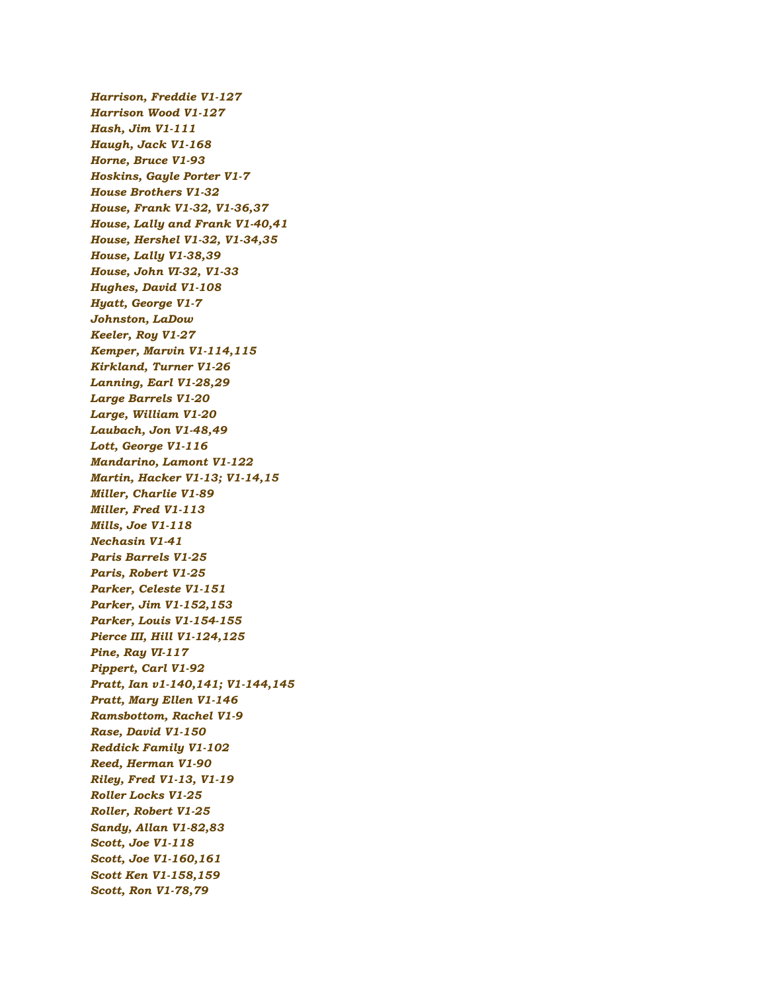*Harrison, Freddie V1-127 Harrison Wood V1-127 Hash, Jim V1-111 Haugh, Jack V1-168 Horne, Bruce V1-93 Hoskins, Gayle Porter V1-7 House Brothers V1-32 House, Frank V1-32, V1-36,37 House, Lally and Frank V1-40,41 House, Hershel V1-32, V1-34,35 House, Lally V1-38,39 House, John VI-32, V1-33 Hughes, David V1-108 Hyatt, George V1-7 Johnston, LaDow Keeler, Roy V1-27 Kemper, Marvin V1-114,115 Kirkland, Turner V1-26 Lanning, Earl V1-28,29 Large Barrels V1-20 Large, William V1-20 Laubach, Jon V1-48,49 Lott, George V1-116 Mandarino, Lamont V1-122 Martin, Hacker V1-13; V1-14,15 Miller, Charlie V1-89 Miller, Fred V1-113 Mills, Joe V1-118 Nechasin V1-41 Paris Barrels V1-25 Paris, Robert V1-25 Parker, Celeste V1-151 Parker, Jim V1-152,153 Parker, Louis V1-154-155 Pierce III, Hill V1-124,125 Pine, Ray VI-117 Pippert, Carl V1-92 Pratt, Ian v1-140,141; V1-144,145 Pratt, Mary Ellen V1-146 Ramsbottom, Rachel V1-9 Rase, David V1-150 Reddick Family V1-102 Reed, Herman V1-90 Riley, Fred V1-13, V1-19 Roller Locks V1-25 Roller, Robert V1-25 Sandy, Allan V1-82,83 Scott, Joe V1-118 Scott, Joe V1-160,161 Scott Ken V1-158,159 Scott, Ron V1-78,79*